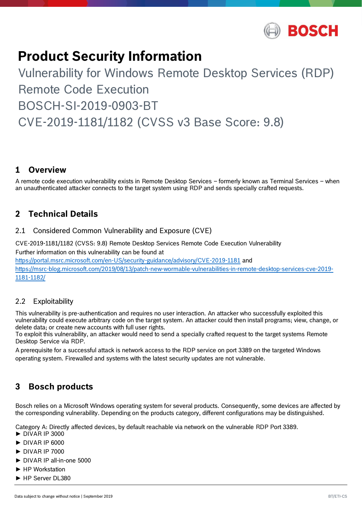

# **Product Security Information**

# Vulnerability for Windows Remote Desktop Services (RDP) Remote Code Execution BOSCH-SI-2019-0903-BT CVE-2019-1181/1182 (CVSS v3 Base Score: 9.8)

## **1 Overview**

A remote code execution vulnerability exists in Remote Desktop Services – formerly known as Terminal Services – when an unauthenticated attacker connects to the target system using RDP and sends specially crafted requests.

## **2 Technical Details**

#### 2.1 Considered Common Vulnerability and Exposure (CVE)

CVE-2019-1181/1182 (CVSS: 9.8) Remote Desktop Services Remote Code Execution Vulnerability Further information on this vulnerability can be found at <https://portal.msrc.microsoft.com/en-US/security-guidance/advisory/CVE-2019-1181> and [https://msrc-blog.microsoft.com/2019/08/13/patch-new-wormable-vulnerabilities-in-remote-desktop-services-cve-2019-](https://msrc-blog.microsoft.com/2019/08/13/patch-new-wormable-vulnerabilities-in-remote-desktop-services-cve-2019-1181-1182/) [1181-1182/](https://msrc-blog.microsoft.com/2019/08/13/patch-new-wormable-vulnerabilities-in-remote-desktop-services-cve-2019-1181-1182/)

#### 2.2 Exploitability

This vulnerability is pre-authentication and requires no user interaction. An attacker who successfully exploited this vulnerability could execute arbitrary code on the target system. An attacker could then install programs; view, change, or delete data; or create new accounts with full user rights.

To exploit this vulnerability, an attacker would need to send a specially crafted request to the target systems Remote Desktop Service via RDP.

A prerequisite for a successful attack is network access to the RDP service on port 3389 on the targeted Windows operating system. Firewalled and systems with the latest security updates are not vulnerable.

## **3 Bosch products**

Bosch relies on a Microsoft Windows operating system for several products. Consequently, some devices are affected by the corresponding vulnerability. Depending on the products category, different configurations may be distinguished.

Category A: Directly affected devices, by default reachable via network on the vulnerable RDP Port 3389.

- $\blacktriangleright$  DIVAR IP 3000
- ► DIVAR IP 6000
- ► DIVAR IP 7000
- ► DIVAR IP all-in-one 5000
- ► HP Workstation
- ► HP Server DL380